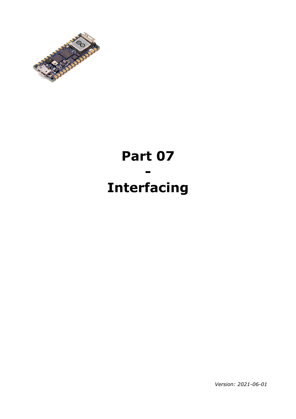

# **Part 07 - Interfacing**

*Version: 2021-06-01*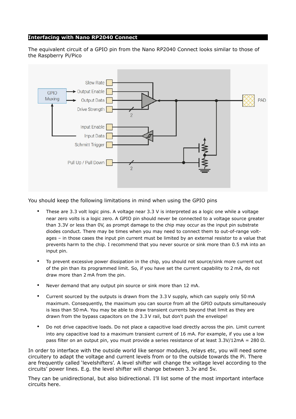#### **Interfacing with Nano RP2040 Connect**

The equivalent circuit of a GPIO pin from the Nano RP2040 Connect looks similar to those of the Raspberry Pi/Pico



You should keep the following limitations in mind when using the GPIO pins

- These are 3.3 volt logic pins. A voltage near 3.3 V is interpreted as a logic one while a voltage near zero volts is a logic zero. A GPIO pin should never be connected to a voltage source greater than 3.3V or less than 0V, as prompt damage to the chip may occur as the input pin substrate diodes conduct. There may be times when you may need to connect them to out-of-range voltages – in those cases the input pin current must be limited by an external resistor to a value that prevents harm to the chip. I recommend that you never source or sink more than 0.5 mA into an input pin.
- To prevent excessive power dissipation in the chip, you should not source/sink more current out of the pin than its programmed limit. So, if you have set the current capability to 2 mA, do not draw more than 2 mA from the pin.
- Never demand that any output pin source or sink more than 12 mA.
- Current sourced by the outputs is drawn from the 3.3 V supply, which can supply only 50 mA maximum. Consequently, the maximum you can source from all the GPIO outputs simultaneously is less than 50 mA. You may be able to draw transient currents beyond that limit as they are drawn from the bypass capacitors on the 3.3 V rail, but don't push the envelope!
- Do not drive capacitive loads. Do not place a capacitive load directly across the pin. Limit current into any capacitive load to a maximum transient current of 16 mA. For example, if you use a low pass filter on an output pin, you must provide a series resistance of at least 3.3V/12mA = 280 Ω.

In order to interface with the outside world like sensor modules, relays etc, you will need some circuitery to adapt the voltage and current levels from or to the outside towards the Pi. There are frequently called 'levelshifters'. A level shifter will change the voltage level according to the circuits' power lines. E.g. the level shifter will change between 3.3v and 5v.

They can be unidirectional, but also bidirectional. I'll list some of the most important interface circuits here.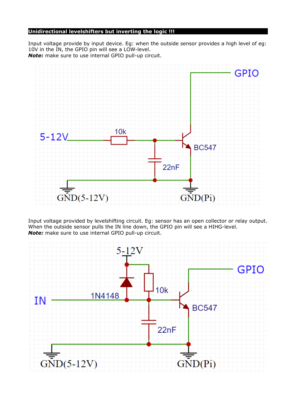## **Unidirectional levelshifters but inverting the logic !!!**

Input voltage provide by input device. Eg: when the outside sensor provides a high level of eg: 10V in the IN, the GPIO pin will see a LOW-level. *Note:* make sure to use internal GPIO pull-up circuit.



Input voltage provided by levelshifting circuit. Eg: sensor has an open collector or relay output. When the outside sensor pulls the IN line down, the GPIO pin will see a HIHG-level. *Note:* make sure to use internal GPIO pull-up circuit.

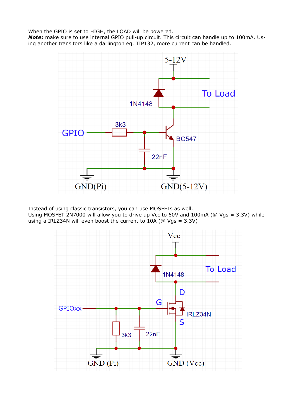When the GPIO is set to HIGH, the LOAD will be powered.

*Note:* make sure to use internal GPIO pull-up circuit. This circuit can handle up to 100mA. Using another transitors like a darlington eg. TIP132, more current can be handled.



Instead of using classic transistors, you can use MOSFETs as well.

Using MOSFET 2N7000 will allow you to drive up Vcc to 60V and 100mA (@ Vgs = 3.3V) while using a IRLZ34N will even boost the current to 10A (@ Vgs = 3.3V)

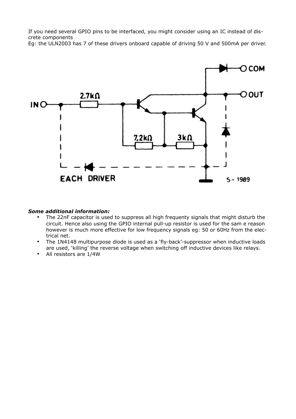If you need several GPIO pins to be interfaced, you might consider using an IC instead of discrete components

Eg: the ULN2003 has 7 of these drivers onboard capable of driving 50 V and 500mA per driver.



#### *Some additional information:*

- The 22nF capacitor is used to suppress all high frequenty signals that might disturb the circuit. Hence also using the GPIO internal pull-up resistor is used for the sam e reason however is much more effective for low frequency signals eg: 50 or 60Hz from the electrical net.
- The 1N4148 multipurpose diode is used as a 'fly-back'-suppressor when inductive loads are used, 'killing' the reverse voltage when switching off inductive devices like relays.
- All resistors are 1/4W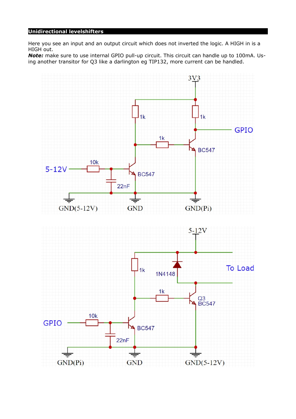## **Unidirectional levelshifters**

Here you see an input and an output circuit which does not inverted the logic. A HIGH in is a HIGH out.

*Note:* make sure to use internal GPIO pull-up circuit. This circuit can handle up to 100mA. Using another transitor for Q3 like a darlington eg TIP132, more current can be handled.

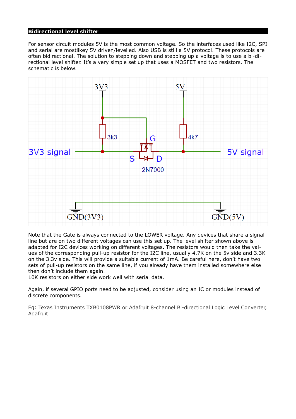### **Bidirectional level shifter**

For sensor circuit modules 5V is the most common voltage. So the interfaces used like I2C, SPI and serial are mostlikey 5V driven/levelled. Also USB is still a 5V protocol. These protocols are often bidirectional. The solution to stepping down and stepping up a voltage is to use a bi-directional level shifter. It's a very simple set up that uses a MOSFET and two resistors. The schematic is below.



Note that the Gate is always connected to the LOWER voltage. Any devices that share a signal line but are on two different voltages can use this set up. The level shifter shown above is adapted for I2C devices working on different voltages. The resistors would then take the values of the corresponding pull-up resistor for the I2C line, usually 4.7K on the 5v side and 3.3K on the 3.3v side. This will provide a suitable current of 1mA. Be careful here, don't have two sets of pull-up resistors on the same line, if you already have them installed somewhere else then don't include them again.

10K resistors on either side work well with serial data.

Again, if several GPIO ports need to be adjusted, consider using an IC or modules instead of discrete components.

Eg: Texas Instruments TXB0108PWR or Adafruit 8-channel Bi-directional Logic Level Converter, Adafruit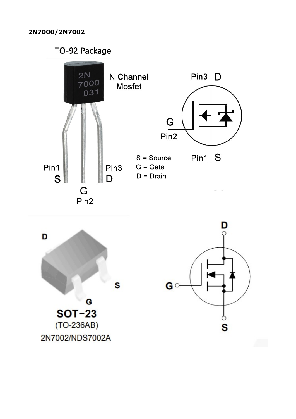TO-92 Package

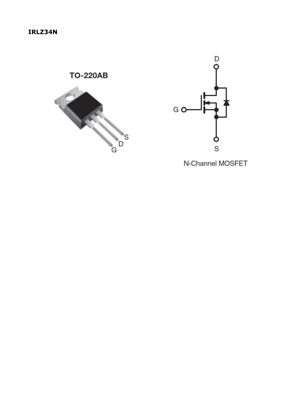



N-Channel MOSFET